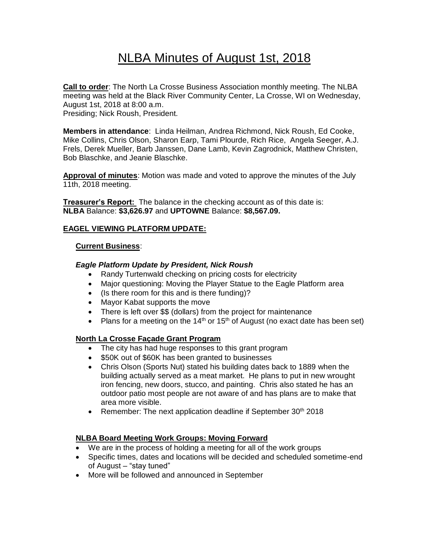# NLBA Minutes of August 1st, 2018

**Call to order**: The North La Crosse Business Association monthly meeting. The NLBA meeting was held at the Black River Community Center, La Crosse, WI on Wednesday, August 1st, 2018 at 8:00 a.m.

Presiding; Nick Roush, President.

**Members in attendance**: Linda Heilman, Andrea Richmond, Nick Roush, Ed Cooke, Mike Collins, Chris Olson, Sharon Earp, Tami Plourde, Rich Rice, Angela Seeger, A.J. Frels, Derek Mueller, Barb Janssen, Dane Lamb, Kevin Zagrodnick, Matthew Christen, Bob Blaschke, and Jeanie Blaschke.

**Approval of minutes**: Motion was made and voted to approve the minutes of the July 11th, 2018 meeting.

**Treasurer's Report:** The balance in the checking account as of this date is: **NLBA** Balance: **\$3,626.97** and **UPTOWNE** Balance: **\$8,567.09.**

## **EAGEL VIEWING PLATFORM UPDATE:**

## **Current Business**:

#### *Eagle Platform Update by President, Nick Roush*

- Randy Turtenwald checking on pricing costs for electricity
- Major questioning: Moving the Player Statue to the Eagle Platform area
- (Is there room for this and is there funding)?
- Mayor Kabat supports the move
- There is left over \$\$ (dollars) from the project for maintenance
- Plans for a meeting on the 14<sup>th</sup> or 15<sup>th</sup> of August (no exact date has been set)

## **North La Crosse Façade Grant Program**

- The city has had huge responses to this grant program
- \$50K out of \$60K has been granted to businesses
- Chris Olson (Sports Nut) stated his building dates back to 1889 when the building actually served as a meat market. He plans to put in new wrought iron fencing, new doors, stucco, and painting. Chris also stated he has an outdoor patio most people are not aware of and has plans are to make that area more visible.
- Remember: The next application deadline if September  $30<sup>th</sup>$  2018

## **NLBA Board Meeting Work Groups: Moving Forward**

- We are in the process of holding a meeting for all of the work groups
- Specific times, dates and locations will be decided and scheduled sometime-end of August – "stay tuned"
- More will be followed and announced in September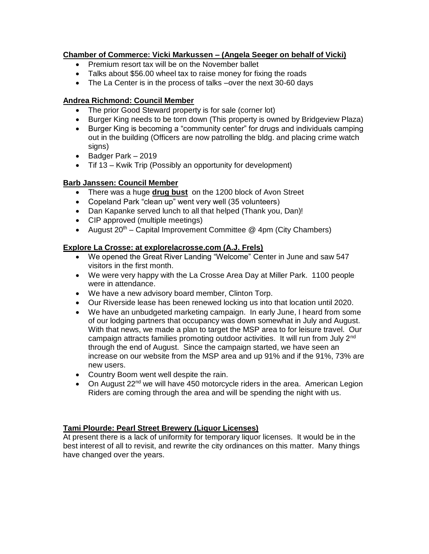# **Chamber of Commerce: Vicki Markussen – (Angela Seeger on behalf of Vicki)**

- Premium resort tax will be on the November ballet
- Talks about \$56.00 wheel tax to raise money for fixing the roads
- The La Center is in the process of talks –over the next 30-60 days

## **Andrea Richmond: Council Member**

- The prior Good Steward property is for sale (corner lot)
- Burger King needs to be torn down (This property is owned by Bridgeview Plaza)
- Burger King is becoming a "community center" for drugs and individuals camping out in the building (Officers are now patrolling the bldg. and placing crime watch signs)
- Badger Park 2019
- Tif 13 Kwik Trip (Possibly an opportunity for development)

## **Barb Janssen: Council Member**

- There was a huge **drug bust** on the 1200 block of Avon Street
- Copeland Park "clean up" went very well (35 volunteers)
- Dan Kapanke served lunch to all that helped (Thank you, Dan)!
- CIP approved (multiple meetings)
- August  $20<sup>th</sup>$  Capital Improvement Committee  $@$  4pm (City Chambers)

## **Explore La Crosse: at explorelacrosse.com (A.J. Frels)**

- We opened the Great River Landing "Welcome" Center in June and saw 547 visitors in the first month.
- We were very happy with the La Crosse Area Day at Miller Park. 1100 people were in attendance.
- We have a new advisory board member, Clinton Torp.
- Our Riverside lease has been renewed locking us into that location until 2020.
- We have an unbudgeted marketing campaign. In early June, I heard from some of our lodging partners that occupancy was down somewhat in July and August. With that news, we made a plan to target the MSP area to for leisure travel. Our campaign attracts families promoting outdoor activities. It will run from July 2<sup>nd</sup> through the end of August. Since the campaign started, we have seen an increase on our website from the MSP area and up 91% and if the 91%, 73% are new users.
- Country Boom went well despite the rain.
- On August 22<sup>nd</sup> we will have 450 motorcycle riders in the area. American Legion Riders are coming through the area and will be spending the night with us.

## **Tami Plourde: Pearl Street Brewery (Liquor Licenses)**

At present there is a lack of uniformity for temporary liquor licenses. It would be in the best interest of all to revisit, and rewrite the city ordinances on this matter. Many things have changed over the years.